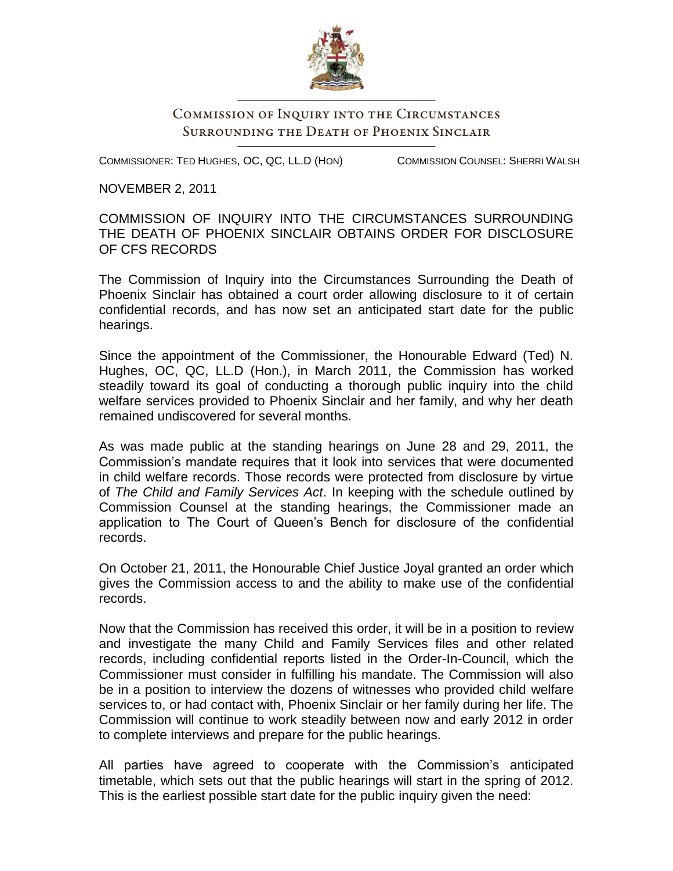

## COMMISSION OF INQUIRY INTO THE CIRCUMSTANCES **SURROUNDING THE DEATH OF PHOENIX SINCLAIR**

COMMISSIONER: TED HUGHES, OC, QC, LL.D (HON)

COMMISSION COUNSEL: SHERRI WALSH

NOVEMBER 2, 2011

COMMISSION OF INQUIRY INTO THE CIRCUMSTANCES SURROUNDING THE DEATH OF PHOENIX SINCLAIR OBTAINS ORDER FOR DISCLOSURE OF CFS RECORDS

The Commission of Inquiry into the Circumstances Surrounding the Death of Phoenix Sinclair has obtained a court order allowing disclosure to it of certain confidential records, and has now set an anticipated start date for the public hearings.

Since the appointment of the Commissioner, the Honourable Edward (Ted) N. Hughes, OC, QC, LL.D (Hon.), in March 2011, the Commission has worked steadily toward its goal of conducting a thorough public inquiry into the child welfare services provided to Phoenix Sinclair and her family, and why her death remained undiscovered for several months.

As was made public at the standing hearings on June 28 and 29, 2011, the Commission's mandate requires that it look into services that were documented in child welfare records. Those records were protected from disclosure by virtue of *The Child and Family Services Act*. In keeping with the schedule outlined by Commission Counsel at the standing hearings, the Commissioner made an application to The Court of Queen's Bench for disclosure of the confidential records.

On October 21, 2011, the Honourable Chief Justice Joyal granted an order which gives the Commission access to and the ability to make use of the confidential records.

Now that the Commission has received this order, it will be in a position to review and investigate the many Child and Family Services files and other related records, including confidential reports listed in the Order-In-Council, which the Commissioner must consider in fulfilling his mandate. The Commission will also be in a position to interview the dozens of witnesses who provided child welfare services to, or had contact with, Phoenix Sinclair or her family during her life. The Commission will continue to work steadily between now and early 2012 in order to complete interviews and prepare for the public hearings.

All parties have agreed to cooperate with the Commission's anticipated timetable, which sets out that the public hearings will start in the spring of 2012. This is the earliest possible start date for the public inquiry given the need: